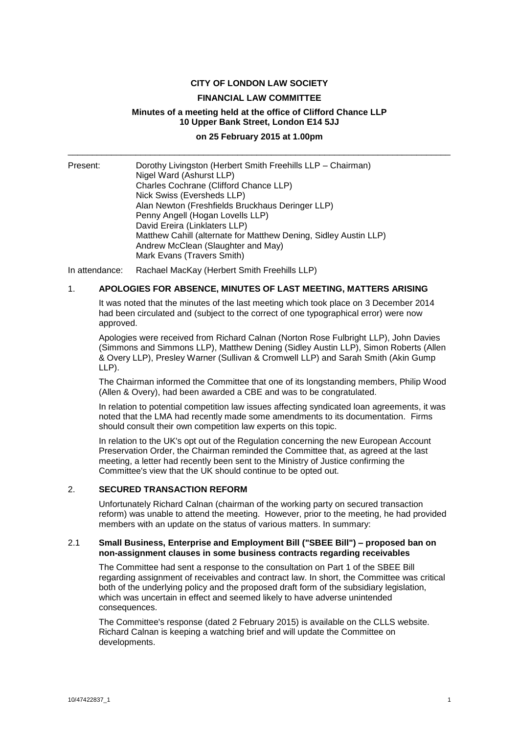#### **CITY OF LONDON LAW SOCIETY**

#### **FINANCIAL LAW COMMITTEE**

## **Minutes of a meeting held at the office of Clifford Chance LLP 10 Upper Bank Street, London E14 5JJ**

# **on 25 February 2015 at 1.00pm** \_\_\_\_\_\_\_\_\_\_\_\_\_\_\_\_\_\_\_\_\_\_\_\_\_\_\_\_\_\_\_\_\_\_\_\_\_\_\_\_\_\_\_\_\_\_\_\_\_\_\_\_\_\_\_\_\_\_\_\_\_\_\_\_\_\_\_\_\_\_\_\_\_\_\_\_\_\_\_

| Present: | Dorothy Livingston (Herbert Smith Freehills LLP - Chairman)      |
|----------|------------------------------------------------------------------|
|          | Nigel Ward (Ashurst LLP)                                         |
|          | Charles Cochrane (Clifford Chance LLP)                           |
|          | Nick Swiss (Eversheds LLP)                                       |
|          | Alan Newton (Freshfields Bruckhaus Deringer LLP)                 |
|          | Penny Angell (Hogan Lovells LLP)                                 |
|          | David Ereira (Linklaters LLP)                                    |
|          | Matthew Cahill (alternate for Matthew Dening, Sidley Austin LLP) |
|          | Andrew McClean (Slaughter and May)                               |
|          | Mark Evans (Travers Smith)                                       |

In attendance: Rachael MacKay (Herbert Smith Freehills LLP)

#### 1. **APOLOGIES FOR ABSENCE, MINUTES OF LAST MEETING, MATTERS ARISING**

It was noted that the minutes of the last meeting which took place on 3 December 2014 had been circulated and (subject to the correct of one typographical error) were now approved.

Apologies were received from Richard Calnan (Norton Rose Fulbright LLP), John Davies (Simmons and Simmons LLP), Matthew Dening (Sidley Austin LLP), Simon Roberts (Allen & Overy LLP), Presley Warner (Sullivan & Cromwell LLP) and Sarah Smith (Akin Gump LLP).

The Chairman informed the Committee that one of its longstanding members, Philip Wood (Allen & Overy), had been awarded a CBE and was to be congratulated.

In relation to potential competition law issues affecting syndicated loan agreements, it was noted that the LMA had recently made some amendments to its documentation. Firms should consult their own competition law experts on this topic.

In relation to the UK's opt out of the Regulation concerning the new European Account Preservation Order, the Chairman reminded the Committee that, as agreed at the last meeting, a letter had recently been sent to the Ministry of Justice confirming the Committee's view that the UK should continue to be opted out.

#### 2. **SECURED TRANSACTION REFORM**

Unfortunately Richard Calnan (chairman of the working party on secured transaction reform) was unable to attend the meeting. However, prior to the meeting, he had provided members with an update on the status of various matters. In summary:

#### 2.1 **Small Business, Enterprise and Employment Bill ("SBEE Bill") – proposed ban on non-assignment clauses in some business contracts regarding receivables**

The Committee had sent a response to the consultation on Part 1 of the SBEE Bill regarding assignment of receivables and contract law. In short, the Committee was critical both of the underlying policy and the proposed draft form of the subsidiary legislation, which was uncertain in effect and seemed likely to have adverse unintended consequences.

The Committee's response (dated 2 February 2015) is available on the CLLS website. Richard Calnan is keeping a watching brief and will update the Committee on developments.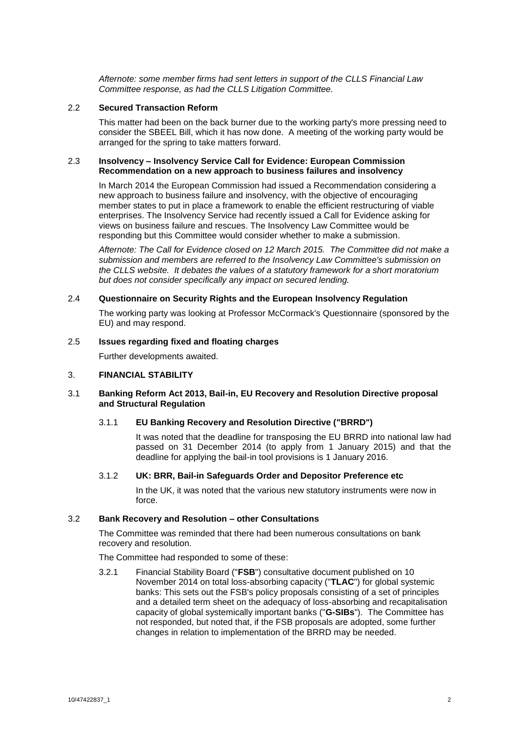*Afternote: some member firms had sent letters in support of the CLLS Financial Law Committee response, as had the CLLS Litigation Committee.*

#### 2.2 **Secured Transaction Reform**

This matter had been on the back burner due to the working party's more pressing need to consider the SBEEL Bill, which it has now done. A meeting of the working party would be arranged for the spring to take matters forward.

#### 2.3 **Insolvency – Insolvency Service Call for Evidence: European Commission Recommendation on a new approach to business failures and insolvency**

In March 2014 the European Commission had issued a Recommendation considering a new approach to business failure and insolvency, with the objective of encouraging member states to put in place a framework to enable the efficient restructuring of viable enterprises. The Insolvency Service had recently issued a Call for Evidence asking for views on business failure and rescues. The Insolvency Law Committee would be responding but this Committee would consider whether to make a submission.

*Afternote: The Call for Evidence closed on 12 March 2015. The Committee did not make a submission and members are referred to the Insolvency Law Committee's submission on the CLLS website. It debates the values of a statutory framework for a short moratorium but does not consider specifically any impact on secured lending.*

#### 2.4 **Questionnaire on Security Rights and the European Insolvency Regulation**

The working party was looking at Professor McCormack's Questionnaire (sponsored by the EU) and may respond.

#### 2.5 **Issues regarding fixed and floating charges**

Further developments awaited.

#### 3. **FINANCIAL STABILITY**

#### 3.1 **Banking Reform Act 2013, Bail-in, EU Recovery and Resolution Directive proposal and Structural Regulation**

#### 3.1.1 **EU Banking Recovery and Resolution Directive ("BRRD")**

It was noted that the deadline for transposing the EU BRRD into national law had passed on 31 December 2014 (to apply from 1 January 2015) and that the deadline for applying the bail-in tool provisions is 1 January 2016.

#### 3.1.2 **UK: BRR, Bail-in Safeguards Order and Depositor Preference etc**

In the UK, it was noted that the various new statutory instruments were now in force.

### 3.2 **Bank Recovery and Resolution – other Consultations**

The Committee was reminded that there had been numerous consultations on bank recovery and resolution.

The Committee had responded to some of these:

3.2.1 Financial Stability Board ("**FSB**") consultative document published on 10 November 2014 on total loss-absorbing capacity ("**TLAC**") for global systemic banks: This sets out the FSB's policy proposals consisting of a set of principles and a detailed term sheet on the adequacy of loss-absorbing and recapitalisation capacity of global systemically important banks ("**G-SIBs**"). The Committee has not responded, but noted that, if the FSB proposals are adopted, some further changes in relation to implementation of the BRRD may be needed.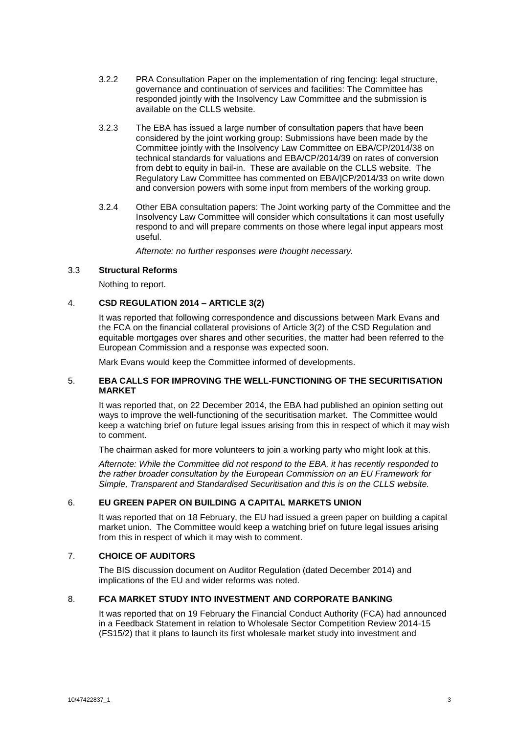- 3.2.2 PRA Consultation Paper on the implementation of ring fencing: legal structure, governance and continuation of services and facilities: The Committee has responded jointly with the Insolvency Law Committee and the submission is available on the CLLS website.
- 3.2.3 The EBA has issued a large number of consultation papers that have been considered by the joint working group: Submissions have been made by the Committee jointly with the Insolvency Law Committee on EBA/CP/2014/38 on technical standards for valuations and EBA/CP/2014/39 on rates of conversion from debt to equity in bail-in. These are available on the CLLS website. The Regulatory Law Committee has commented on EBA/|CP/2014/33 on write down and conversion powers with some input from members of the working group.
- 3.2.4 Other EBA consultation papers: The Joint working party of the Committee and the Insolvency Law Committee will consider which consultations it can most usefully respond to and will prepare comments on those where legal input appears most useful.

*Afternote: no further responses were thought necessary.*

## 3.3 **Structural Reforms**

Nothing to report.

## 4. **CSD REGULATION 2014 – ARTICLE 3(2)**

It was reported that following correspondence and discussions between Mark Evans and the FCA on the financial collateral provisions of Article 3(2) of the CSD Regulation and equitable mortgages over shares and other securities, the matter had been referred to the European Commission and a response was expected soon.

Mark Evans would keep the Committee informed of developments.

## 5. **EBA CALLS FOR IMPROVING THE WELL-FUNCTIONING OF THE SECURITISATION MARKET**

It was reported that, on 22 December 2014, the EBA had published an opinion setting out ways to improve the well-functioning of the securitisation market. The Committee would keep a watching brief on future legal issues arising from this in respect of which it may wish to comment.

The chairman asked for more volunteers to join a working party who might look at this.

*Afternote: While the Committee did not respond to the EBA, it has recently responded to the rather broader consultation by the European Commission on an EU Framework for Simple, Transparent and Standardised Securitisation and this is on the CLLS website.* 

#### 6. **EU GREEN PAPER ON BUILDING A CAPITAL MARKETS UNION**

It was reported that on 18 February, the EU had issued a green paper on building a capital market union. The Committee would keep a watching brief on future legal issues arising from this in respect of which it may wish to comment.

## 7. **CHOICE OF AUDITORS**

The BIS discussion document on Auditor Regulation (dated December 2014) and implications of the EU and wider reforms was noted.

## 8. **FCA MARKET STUDY INTO INVESTMENT AND CORPORATE BANKING**

It was reported that on 19 February the Financial Conduct Authority (FCA) had announced in a Feedback Statement in relation to Wholesale Sector Competition Review 2014-15 (FS15/2) that it plans to launch its first wholesale market study into investment and